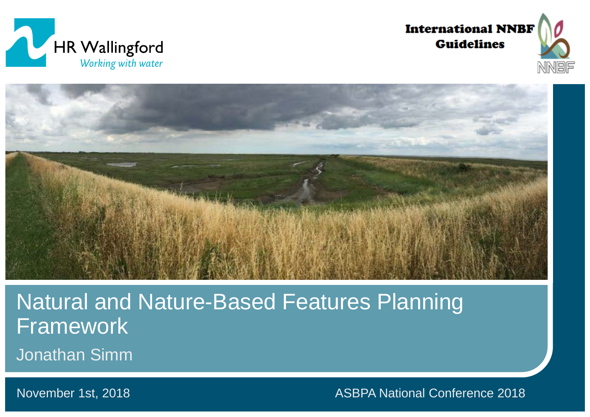





Natural and Nature-Based Features Planning Framework

Jonathan Simm

November 1st, 2018

ASBPA National Conference 2018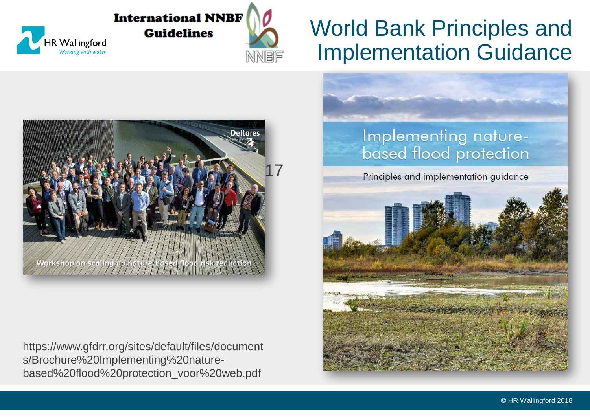

### World Bank Principles and Implementation Guidance



HR Wallingford Working with water

https://www.gfdrr.org/sites/default/files/document s/Brochure%20Implementing%20naturebased%20flood%20protection\_voor%20web.pdf

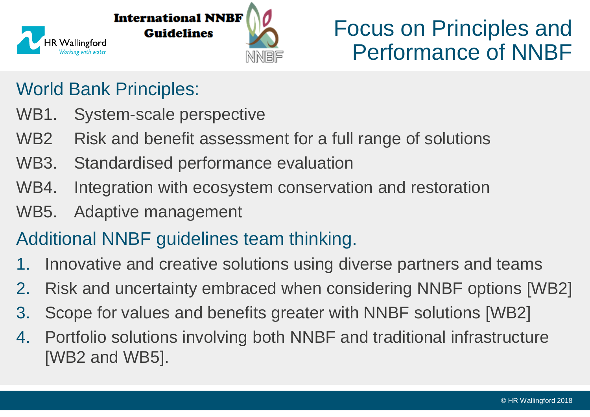

### Focus on Principles and Performance of NNBF

### World Bank Principles:

- WB1. System-scale perspective
- WB2 Risk and benefit assessment for a full range of solutions
- WB3. Standardised performance evaluation
- WB4. Integration with ecosystem conservation and restoration
- WB5. Adaptive management

### Additional NNBF guidelines team thinking.

- 1. Innovative and creative solutions using diverse partners and teams
- 2. Risk and uncertainty embraced when considering NNBF options [WB2]
- 3. Scope for values and benefits greater with NNBF solutions [WB2]
- 4. Portfolio solutions involving both NNBF and traditional infrastructure [WB2 and WB5].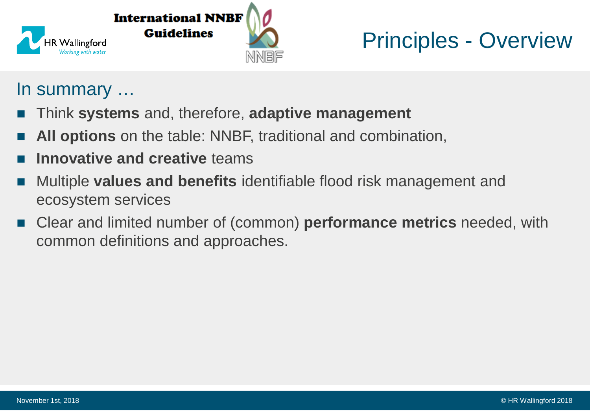

### Principles - Overview

### In summary …

- Think **systems** and, therefore, **adaptive management**
- **All options** on the table: NNBF, traditional and combination,
- **Innovative and creative** teams
- Multiple **values and benefits** identifiable flood risk management and ecosystem services
- Clear and limited number of (common) **performance metrics** needed, with common definitions and approaches.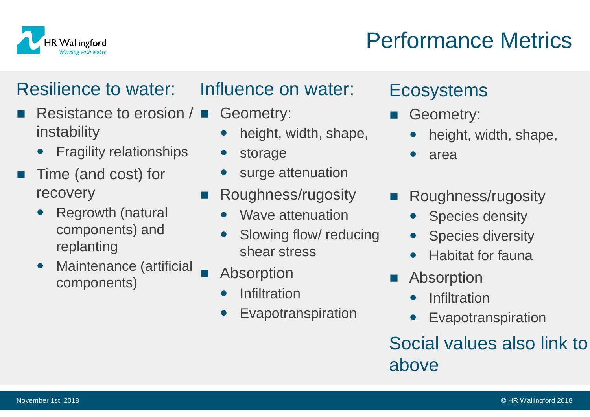

### Performance Metrics

### Resilience to water:

- Resistance to erosion  $\sqrt{\blacksquare}$ instability
	- Fragility relationships
- Time (and cost) for recovery
	- Regrowth (natural components) and replanting
	- Maintenance (artificial components)

### Influence on water:

- Geometry:
	- height, width, shape,
	- storage
	- surge attenuation
- Roughness/rugosity
	- Wave attenuation
	- Slowing flow/ reducing shear stress
	- Absorption
	- Infiltration
	- Evapotranspiration

### **Ecosystems**

- Geometry:
	- height, width, shape,
	- area
- Roughness/rugosity
	- Species density
	- Species diversity
	- Habitat for fauna
- Absorption
	- **Infiltration**
	- Evapotranspiration

### Social values also link to above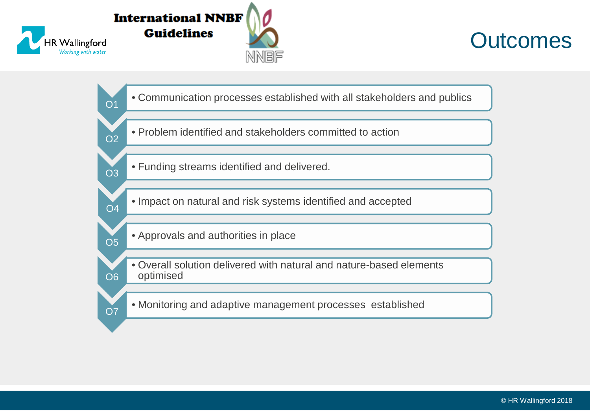

O1

O2

O3

O5

O7



• Communication processes established with all stakeholders and publics

- Problem identified and stakeholders committed to action
- Funding streams identified and delivered.
- O4 • Impact on natural and risk systems identified and accepted
	- Approvals and authorities in place
- O6 • Overall solution delivered with natural and nature-based elements optimised

• Monitoring and adaptive management processes established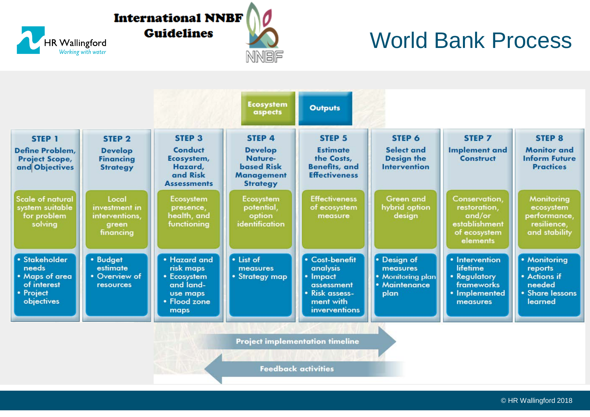### **International NNBF Guidelines**

HR Wallingford



### World Bank Process

|                                                                                    |                                                                            |                                                                                           | <b>Ecosystem</b><br>aspects                                                                      | <b>Outputs</b>                                                                                       |                                                                       |                                                                                              |                                                                                 |
|------------------------------------------------------------------------------------|----------------------------------------------------------------------------|-------------------------------------------------------------------------------------------|--------------------------------------------------------------------------------------------------|------------------------------------------------------------------------------------------------------|-----------------------------------------------------------------------|----------------------------------------------------------------------------------------------|---------------------------------------------------------------------------------|
| STEP 1<br>Define Problem,<br><b>Project Scope,</b><br>and Objectives               | STEP <sub>2</sub><br><b>Develop</b><br><b>Financing</b><br><b>Strategy</b> | STEP <sub>3</sub><br>Conduct<br>Ecosystem,<br>Hazard,<br>and Risk<br><b>Assessments</b>   | STEP 4<br><b>Develop</b><br>Nature-<br><b>based Risk</b><br><b>Management</b><br><b>Strategy</b> | STEP <sub>5</sub><br><b>Estimate</b><br>the Costs,<br><b>Benefits, and</b><br><b>Effectiveness</b>   | STEP 6<br>Select and<br><b>Design the</b><br><b>Intervention</b>      | STEP 7<br><b>Implement</b> and<br><b>Construct</b>                                           | <b>STEP 8</b><br><b>Monitor</b> and<br><b>Inform Future</b><br><b>Practices</b> |
| <b>Scale of natural</b><br>system suitable<br>for problem<br>solving               | Local<br>investment in<br>interventions,<br>green<br>financing             | Ecosystem<br>presence,<br>health, and<br>functioning                                      | Ecosystem<br>potential,<br>option<br>identification                                              | <b>Effectiveness</b><br>of ecosystem<br>measure                                                      | <b>Green and</b><br>hybrid option<br>design                           | Conservation,<br>restoration,<br>and/or<br>establishment<br>of ecosystem<br>elements         | Monitoring<br>ecosystem<br>performance,<br>resilience,<br>and stability         |
| · Stakeholder<br>needs<br>• Maps of area<br>of interest<br>• Project<br>objectives | • Budget<br>estimate<br>• Overview of<br><b>resources</b>                  | • Hazard and<br>risk maps<br>• Ecosystem<br>and land-<br>use maps<br>• Flood zone<br>maps | · List of<br>measures<br>• Strategy map                                                          | • Cost-benefit<br>analysis<br>• Impact<br>assessment<br>• Risk assess-<br>ment with<br>inverventions | • Design of<br>measures<br>• Monitoring plan<br>• Maintenance<br>plan | • Intervention<br>lifetime<br>• Requlatory<br><b>frameworks</b><br>• Implemented<br>measures | • Monitoring<br>reports<br>• Actions if<br>needed<br>• Share lessons<br>learned |
|                                                                                    |                                                                            |                                                                                           |                                                                                                  | <b>Project implementation timeline</b><br><b>Feedback activities</b>                                 |                                                                       |                                                                                              |                                                                                 |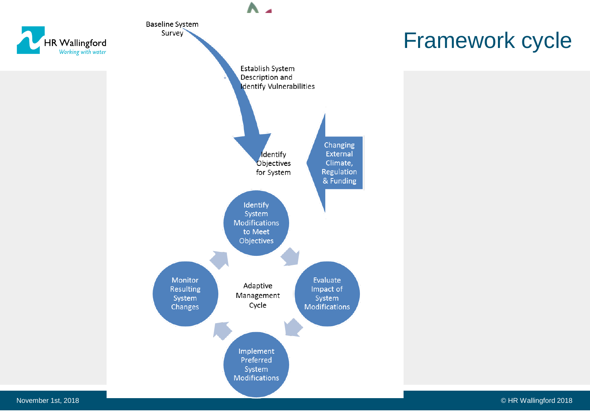

November 1st, 2018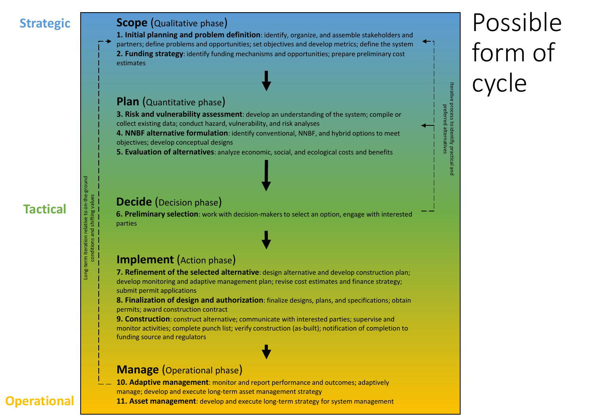#### **Strategic | Scope (Qualitative phase)**

**1. Initial planning and problem definition**: identify, organize, and assemble stakeholders and partners; define problems and opportunities; set objectives and develop metrics; define the system **2. Funding strategy**: identify funding mechanisms and opportunities; prepare preliminary cost estimates

#### **Plan** (Quantitative phase)

**3. Risk and vulnerability assessment**: develop an understanding of the system; compile or collect existing data; conduct hazard, vulnerability, and risk analyses

**4. NNBF alternative formulation**: identify conventional, NNBF, and hybrid options to meet objectives; develop conceptual designs

**5. Evaluation of alternatives**: analyze economic, social, and ecological costs and benefits

#### **Decide** (Decision phase)

**6. Preliminary selection**: work with decision-makers to select an option, engage with interested parties

#### **Implement** (Action phase)

**7. Refinement of the selected alternative**: design alternative and develop construction plan; develop monitoring and adaptive management plan; revise cost estimates and finance strategy; submit permit applications

**8. Finalization of design and authorization**: finalize designs, plans, and specifications; obtain permits; award construction contract

**9. Construction**: construct alternative; communicate with interested parties; supervise and monitor activities; complete punch list; verify construction (as-built); notification of completion to funding source and regulators

#### **Manage** (Operational phase)

**10. Adaptive management**: monitor and report performance and outcomes; adaptively manage; develop and execute long-term asset management strategy

**11. Asset management**: develop and execute long-term strategy for system management

## Possible form of cycle

Iterative process to identify practical and preferred alternatives

Iterative process to identify practica<br>preferred alternatives

# **Tactical**